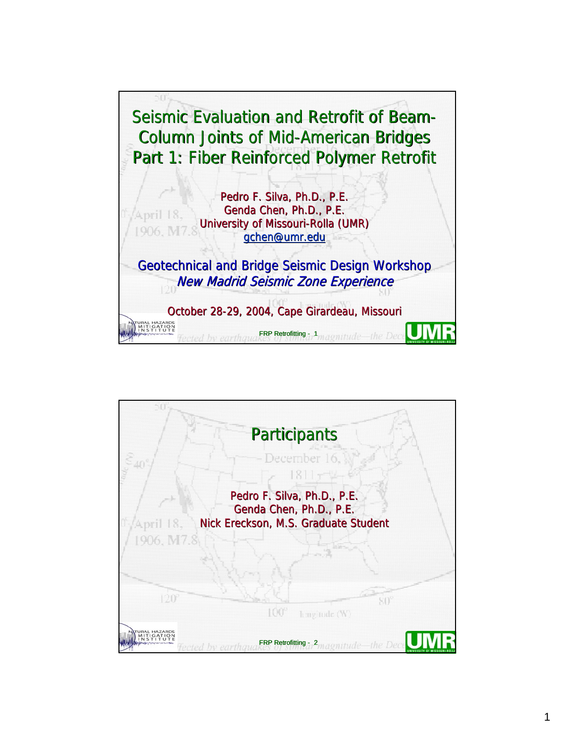

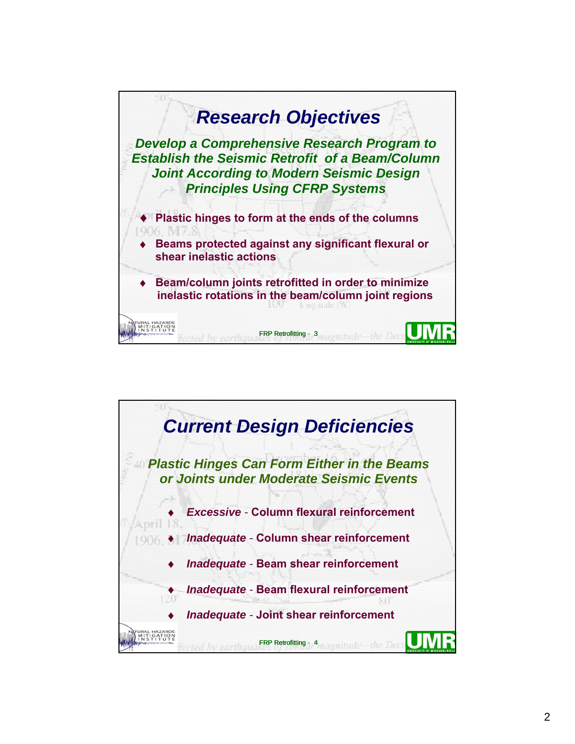

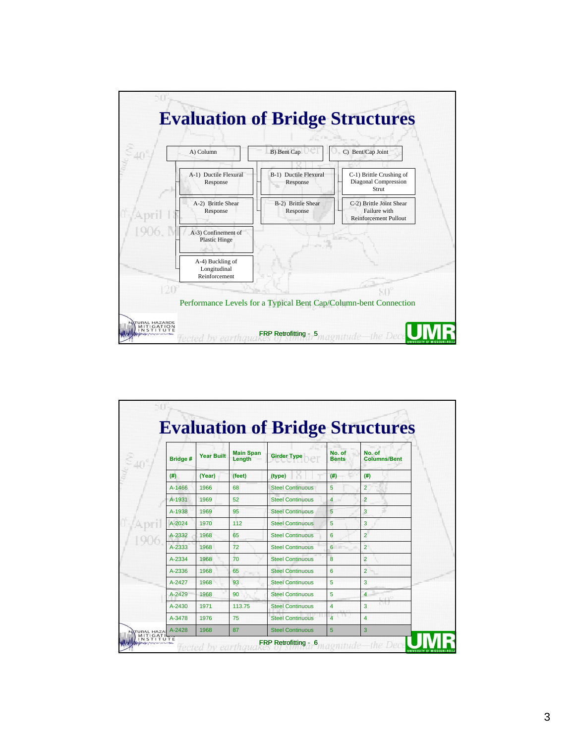

|                |                   |                            |                         |                         | <b>Evaluation of Bridge Structures</b> |  |
|----------------|-------------------|----------------------------|-------------------------|-------------------------|----------------------------------------|--|
| <b>Bridge#</b> | <b>Year Built</b> | <b>Main Span</b><br>Length | <b>Girder Type</b>      | No. of<br><b>Bents</b>  | No. of<br><b>Columns/Bent</b>          |  |
| (#)            | (Year)            | (feet)                     | (type)                  | (# )                    | (#)                                    |  |
| A-1466         | 1966              | 68                         | <b>Steel Continuous</b> | 5                       | $\overline{2}$                         |  |
| A-1931         | 1969              | 52                         | <b>Steel Continuous</b> | $\overline{4}$          | $\overline{2}$                         |  |
| A-1938         | 1969              | 95                         | <b>Steel Continuous</b> | 5                       | 3                                      |  |
| $A - 2024$     | 1970              | 112                        | <b>Steel Continuous</b> | 5                       | 3                                      |  |
| A-2332         | 1968              | 65                         | <b>Steel Continuous</b> | 6                       | $\overline{2}$                         |  |
| A-2333         | 1968              | 72                         | <b>Steel Continuous</b> | 6                       | $\overline{2}$                         |  |
| A-2334         | 1968              | 70                         | <b>Steel Continuous</b> | 8                       | $\overline{2}$                         |  |
| A-2336         | 1968              | 65                         | <b>Steel Continuous</b> | 6                       | $\overline{2}$                         |  |
| A-2427         | 1968              | 93                         | <b>Steel Continuous</b> | 5                       | 3                                      |  |
| A-2429         | 1968              | 90                         | <b>Steel Continuous</b> | 5                       | 4                                      |  |
| $A - 2430$     | 1971              | 113.75                     | <b>Steel Continuous</b> | 4                       | 3                                      |  |
| A-3478         | 1976              | 75                         | <b>Steel Continuous</b> | $\overline{\mathbf{A}}$ | $\overline{4}$                         |  |
| A-2428         | 1968              | 87                         | <b>Steel Continuous</b> | 5                       | 3                                      |  |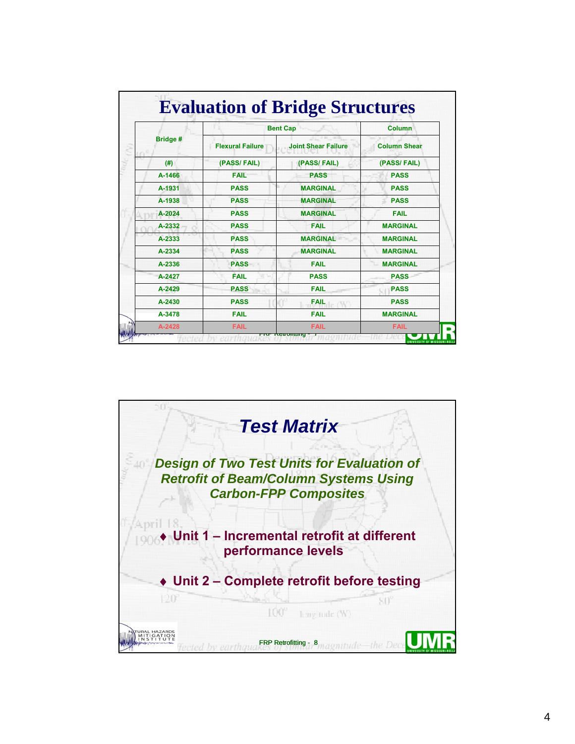|          | <b>Bent Cap</b>         | <b>Column</b>              |                     |  |
|----------|-------------------------|----------------------------|---------------------|--|
| Bridge # | <b>Flexural Failure</b> | <b>Joint Shear Failure</b> | <b>Column Shear</b> |  |
| (#)      | (PASS/FAIL)             | (PASS/FAIL)                | (PASS/FAIL)         |  |
| A-1466   | <b>FAIL</b>             | <b>PASS</b>                | <b>PASS</b>         |  |
| A-1931   | <b>PASS</b>             | <b>MARGINAL</b>            | <b>PASS</b>         |  |
| A-1938   | <b>PASS</b>             | <b>MARGINAL</b>            | <b>PASS</b>         |  |
| A-2024   | <b>PASS</b>             | <b>MARGINAL</b>            | <b>FAIL</b>         |  |
| A-2332   | <b>PASS</b>             | <b>FAIL</b>                | <b>MARGINAL</b>     |  |
| A-2333   | <b>PASS</b>             | <b>MARGINAL</b>            | <b>MARGINAL</b>     |  |
| A-2334   | <b>PASS</b>             | <b>MARGINAL</b>            | <b>MARGINAL</b>     |  |
| A-2336   | <b>PASS</b>             | <b>FAIL</b>                | <b>MARGINAL</b>     |  |
| A-2427   | <b>FAIL</b>             | <b>PASS</b>                | <b>PASS</b>         |  |
| A-2429   | <b>PASS</b>             | <b>FAIL</b>                | <b>PASS</b>         |  |
| A-2430   | <b>PASS</b>             | <b>FAIL</b>                | <b>PASS</b>         |  |
| A-3478   | <b>FAIL</b>             | <b>FAIL</b>                | <b>MARGINAL</b>     |  |

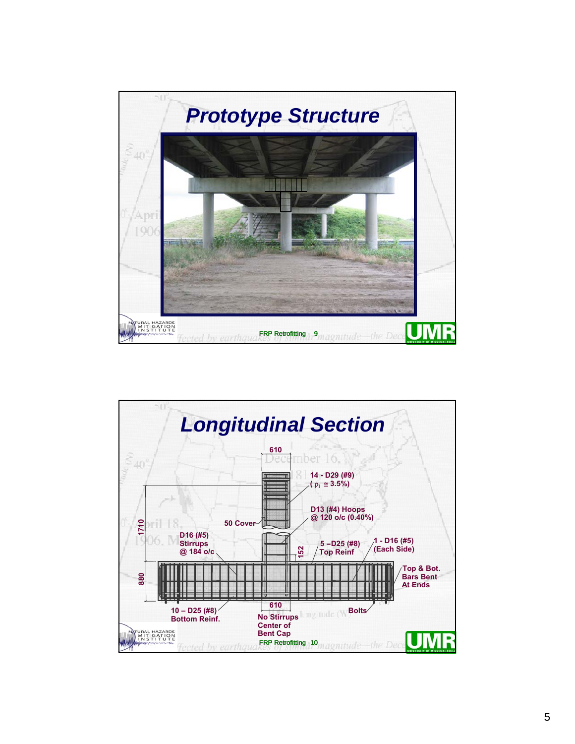

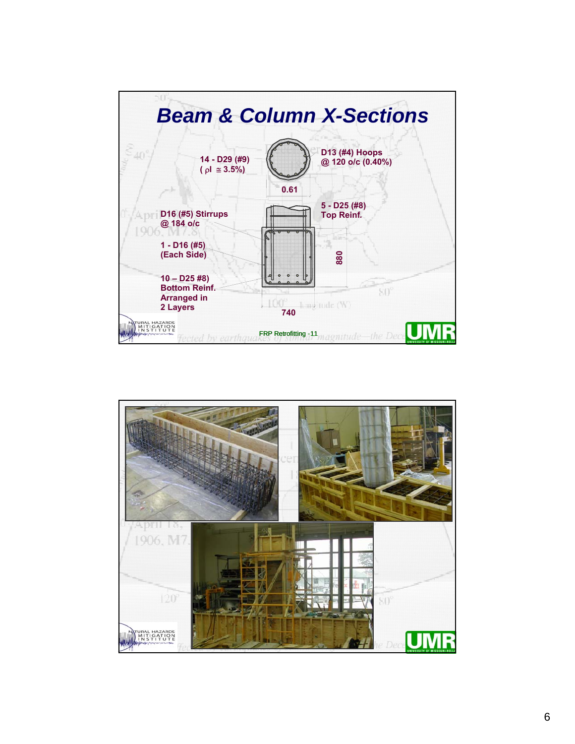

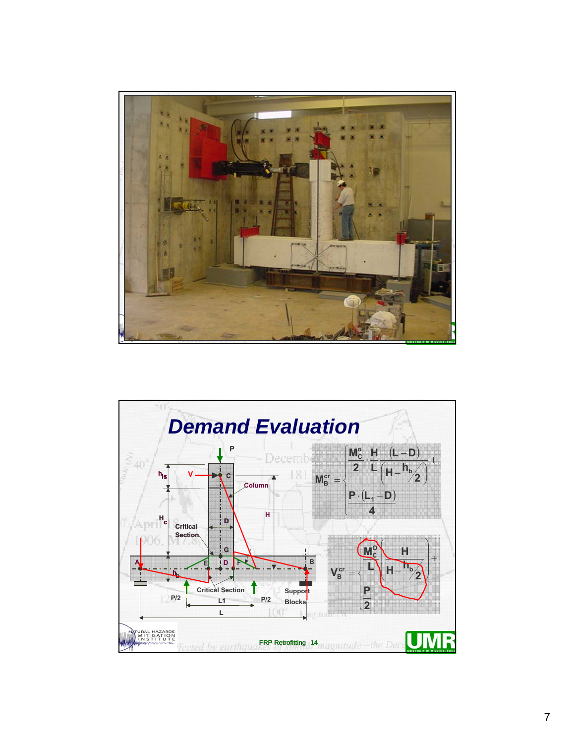

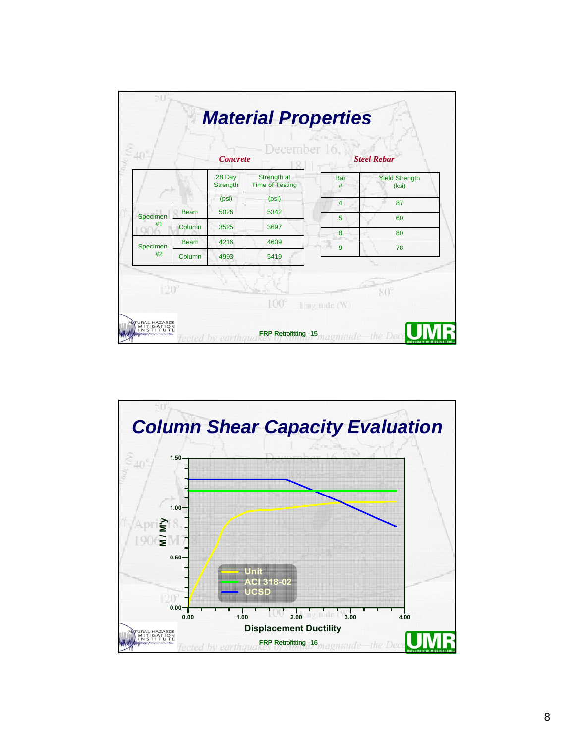|                       |             | <b>Concrete</b>           | December 16,                          | <b>Steel Rebar</b> |                                |  |
|-----------------------|-------------|---------------------------|---------------------------------------|--------------------|--------------------------------|--|
|                       |             | 28 Day<br><b>Strength</b> | Strength at<br><b>Time of Testing</b> | <b>Bar</b><br>#    | <b>Yield Strength</b><br>(ksi) |  |
|                       |             | (psi)                     | (psi)                                 | $\overline{4}$     | 87                             |  |
| <b>Specimen</b><br>#1 | <b>Beam</b> | 5026                      | 5342                                  | 5                  | 60                             |  |
|                       | Column      | 3525                      | 3697                                  |                    |                                |  |
|                       | <b>Beam</b> | 4216                      | 4609                                  | 8                  | 80                             |  |
| Specimen<br>#2        | Column      | 4993                      | 5419                                  | 9                  | 78                             |  |
| $120^{6}$             |             |                           | $100^\circ$                           | hmgitude (W)       |                                |  |

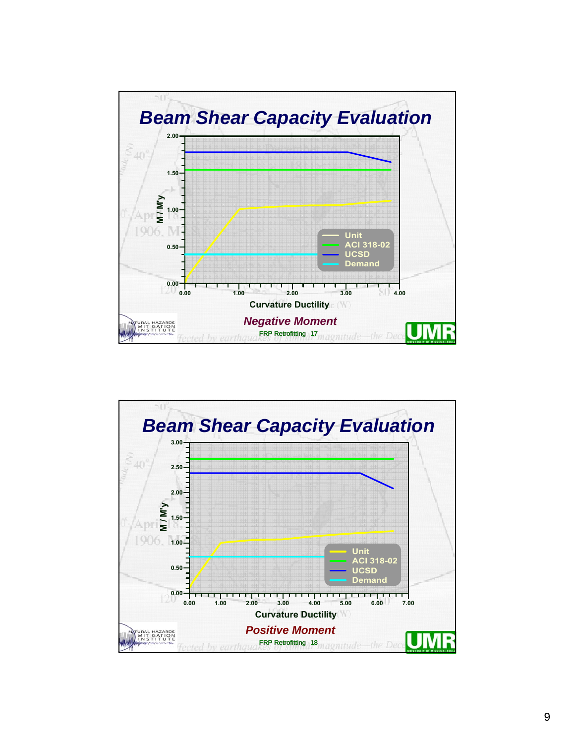

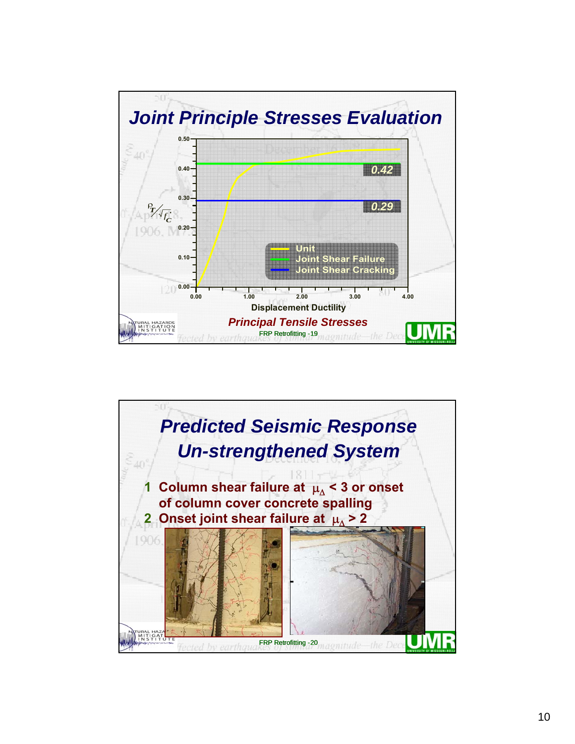

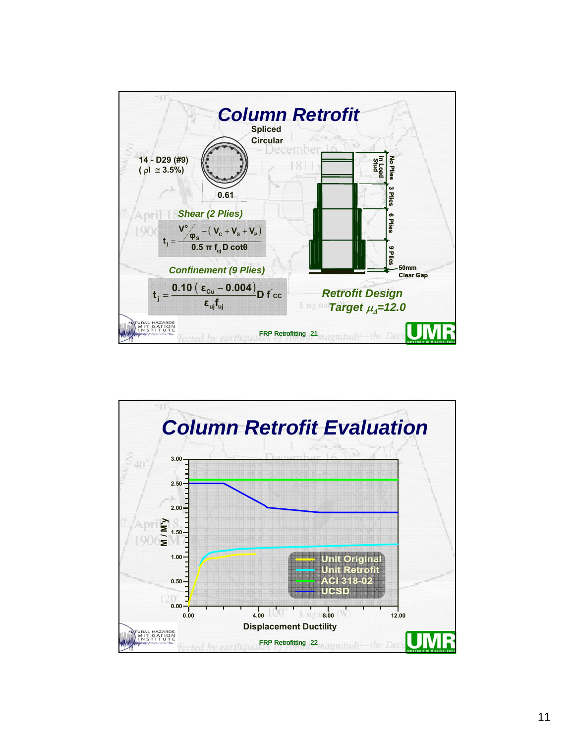

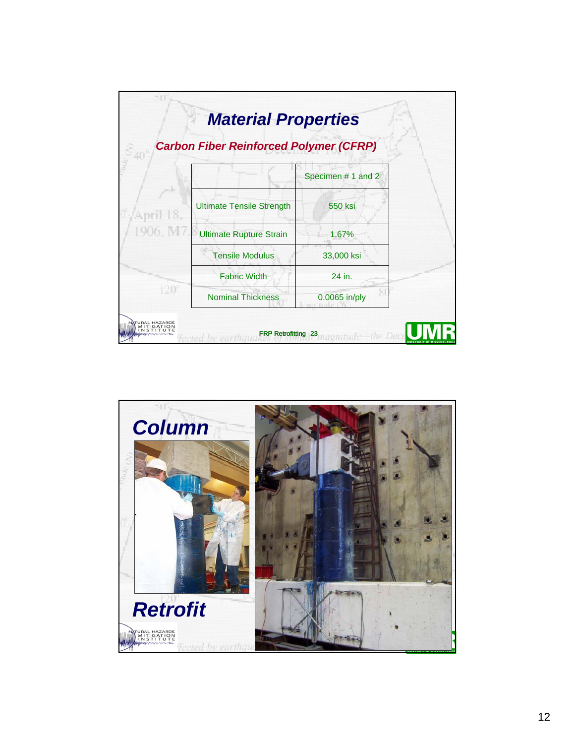

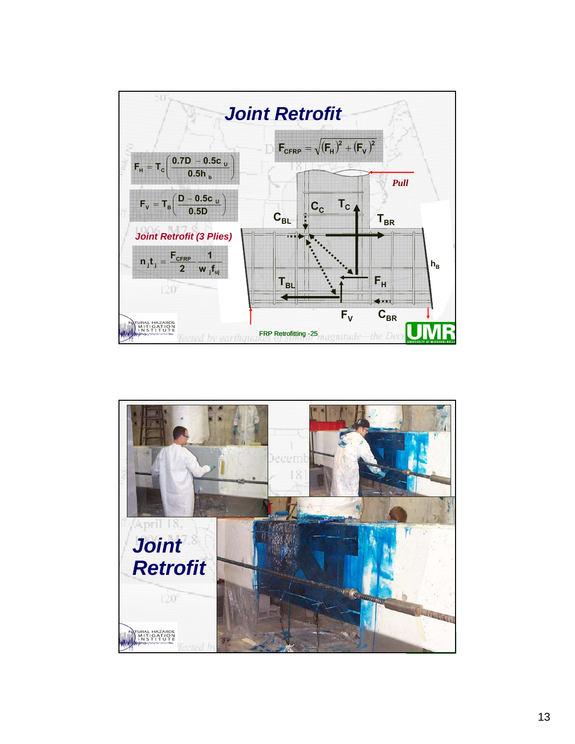

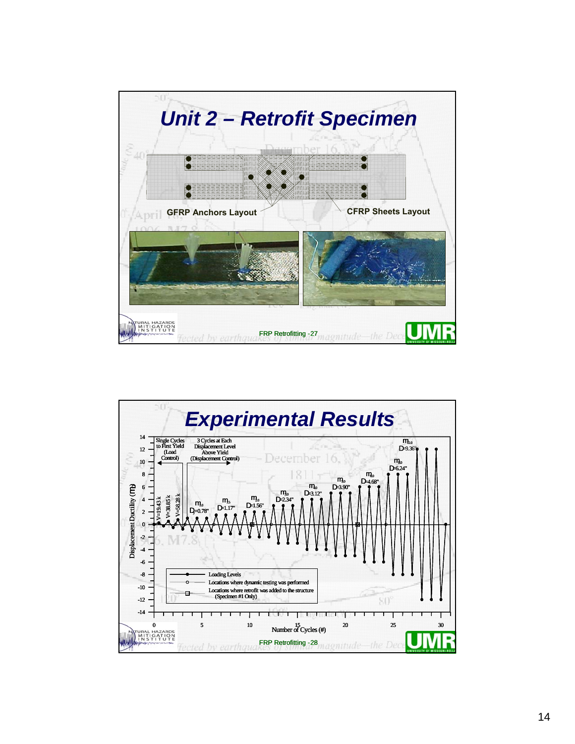

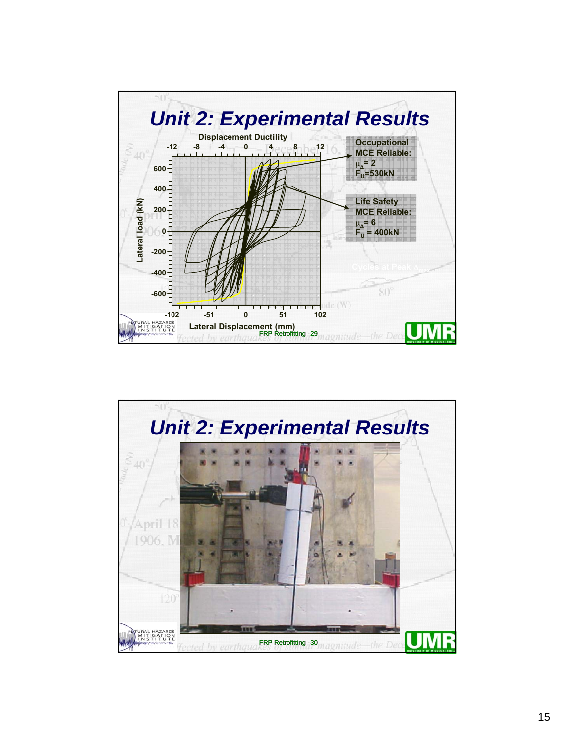

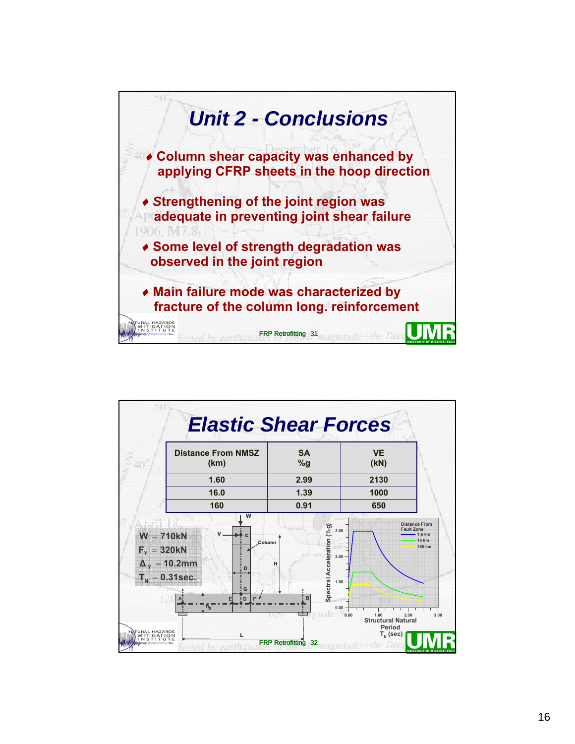

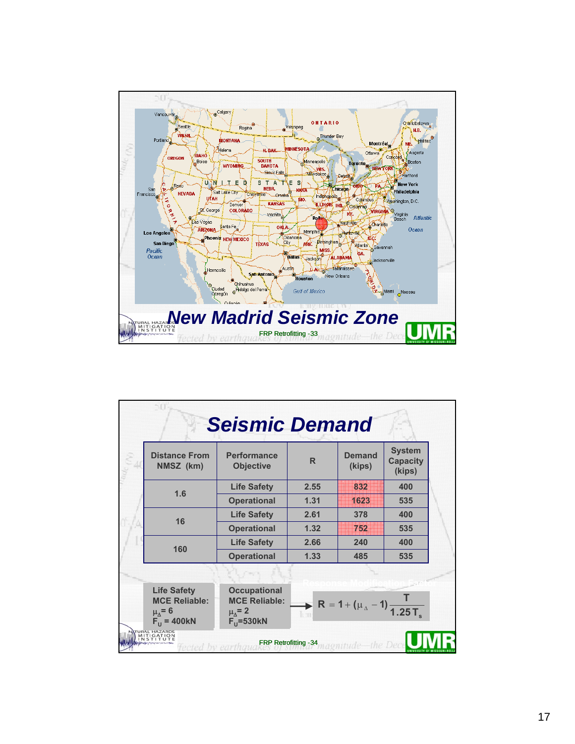

|  |                                                    | <b>Seismic Demand</b>                  |                                |                         |                                            |  |
|--|----------------------------------------------------|----------------------------------------|--------------------------------|-------------------------|--------------------------------------------|--|
|  | <b>Distance From</b><br>NMSZ (km)                  | <b>Performance</b><br><b>Objective</b> | $\mathsf{R}$                   | <b>Demand</b><br>(kips) | <b>System</b><br><b>Capacity</b><br>(kips) |  |
|  |                                                    | <b>Life Safety</b>                     | 2.55                           | 832                     | 400                                        |  |
|  | 1.6                                                | <b>Operational</b>                     | 1.31                           | 1623                    | 535                                        |  |
|  | 16                                                 | <b>Life Safety</b>                     | 2.61                           | 378                     | 400                                        |  |
|  |                                                    | <b>Operational</b>                     | 1.32                           | 752                     | 535                                        |  |
|  | 160                                                | <b>Life Safety</b>                     | 2.66                           | 240                     | 400                                        |  |
|  |                                                    | <b>Operational</b>                     | 1.33                           | 485                     | 535                                        |  |
|  |                                                    |                                        |                                |                         |                                            |  |
|  | R = 1 + ( $\mu_{\Delta}$ – 1) $\frac{1}{1.25 T_s}$ |                                        |                                |                         |                                            |  |
|  | <b>AL HAZARDS</b><br><b>TIGATION</b>               | cted by earthaug                       | FRP Retrofitting -34 magnitude |                         | the Deci                                   |  |